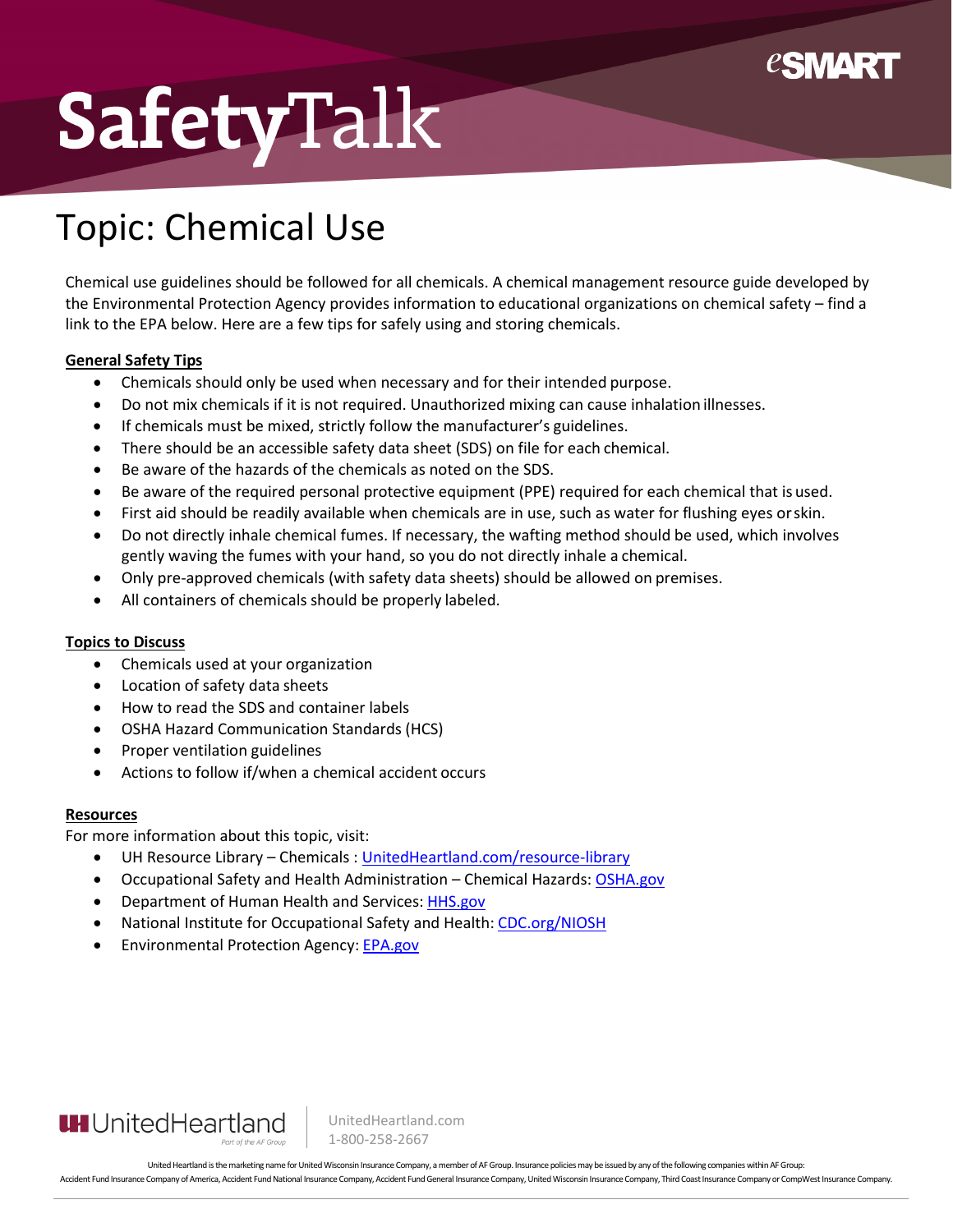

## SafetyTalk

## Topic: Chemical Use

Chemical use guidelines should be followed for all chemicals. A chemical management resource guide developed by the Environmental Protection Agency provides information to educational organizations on chemical safety – find a link to the EPA below. Here are a few tips for safely using and storing chemicals.

#### **General Safety Tips**

- Chemicals should only be used when necessary and for their intended purpose.
- Do not mix chemicals if it is not required. Unauthorized mixing can cause inhalation illnesses.
- If chemicals must be mixed, strictly follow the manufacturer's guidelines.
- There should be an accessible safety data sheet (SDS) on file for each chemical.
- Be aware of the hazards of the chemicals as noted on the SDS.
- Be aware of the required personal protective equipment (PPE) required for each chemical that is used.
- First aid should be readily available when chemicals are in use, such as water for flushing eyes orskin.
- Do not directly inhale chemical fumes. If necessary, the wafting method should be used, which involves gently waving the fumes with your hand, so you do not directly inhale a chemical.
- Only pre-approved chemicals (with safety data sheets) should be allowed on premises.
- All containers of chemicals should be properly labeled.

#### **Topics to Discuss**

- Chemicals used at your organization
- Location of safety data sheets
- How to read the SDS and container labels
- OSHA Hazard Communication Standards (HCS)
- Proper ventilation guidelines
- Actions to follow if/when a chemical accident occurs

#### **Resources**

For more information about this topic, visit:

- UH Resource Library Chemicals : [UnitedHeartland.com/resource-library](https://www.unitedheartland.com/resource-library/?topic=chemicals)
- Occupational Safety and Health Administration Chemical Hazards[: OSHA.gov](https://www.osha.gov/chemical-hazards)
- Department of Human Health and Services: [HHS.gov](https://www.hhs.gov/)
- National Institute for Occupational Safety and Health: [CDC.org/NIOSH](https://www.cdc.gov/niosh/index.htm)
- Environmental Protection Agency: [EPA.gov](https://www.epa.gov/)



UnitedHeartland.com 1-800-258-2667

United Heartland is the marketing name for United Wisconsin Insurance Company, a member of AF Group. Insurance policies may be issued by any of the following companies within AF Group: Accident Fund Insurance Company of America, Accident Fund National Insurance Company, Accident Fund General Insurance Company, Inded Wisconsin Insurance Company, Third Coast Insurance Company or CompWest Insurance Company.